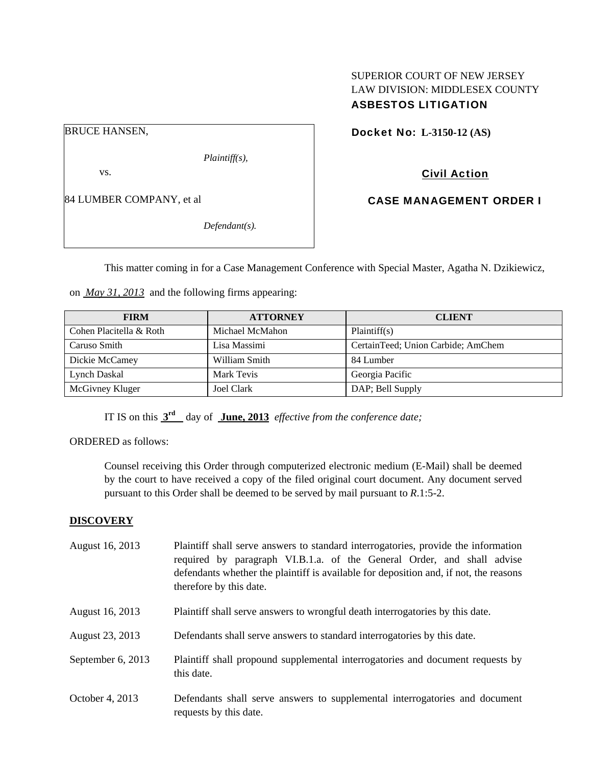## SUPERIOR COURT OF NEW JERSEY LAW DIVISION: MIDDLESEX COUNTY ASBESTOS LITIGATION

BRUCE HANSEN,

*Plaintiff(s),* 

vs.

84 LUMBER COMPANY, et al

*Defendant(s).* 

Docket No: **L-3150-12 (AS)** 

Civil Action

CASE MANAGEMENT ORDER I

This matter coming in for a Case Management Conference with Special Master, Agatha N. Dzikiewicz,

on *May 31, 2013* and the following firms appearing:

| <b>FIRM</b>             | <b>ATTORNEY</b>   | <b>CLIENT</b>                      |
|-------------------------|-------------------|------------------------------------|
| Cohen Placitella & Roth | Michael McMahon   | Plaintiff(s)                       |
| Caruso Smith            | Lisa Massimi      | CertainTeed; Union Carbide; AmChem |
| Dickie McCamey          | William Smith     | 84 Lumber                          |
| Lynch Daskal            | Mark Tevis        | Georgia Pacific                    |
| McGivney Kluger         | <b>Joel Clark</b> | DAP; Bell Supply                   |

IT IS on this **3rd** day of **June, 2013** *effective from the conference date;*

ORDERED as follows:

Counsel receiving this Order through computerized electronic medium (E-Mail) shall be deemed by the court to have received a copy of the filed original court document. Any document served pursuant to this Order shall be deemed to be served by mail pursuant to *R*.1:5-2.

### **DISCOVERY**

| August 16, 2013   | Plaintiff shall serve answers to standard interrogatories, provide the information<br>required by paragraph VI.B.1.a. of the General Order, and shall advise<br>defendants whether the plaintiff is available for deposition and, if not, the reasons<br>therefore by this date. |
|-------------------|----------------------------------------------------------------------------------------------------------------------------------------------------------------------------------------------------------------------------------------------------------------------------------|
| August 16, 2013   | Plaintiff shall serve answers to wrongful death interrogatories by this date.                                                                                                                                                                                                    |
| August 23, 2013   | Defendants shall serve answers to standard interrogatories by this date.                                                                                                                                                                                                         |
| September 6, 2013 | Plaintiff shall propound supplemental interrogatories and document requests by<br>this date.                                                                                                                                                                                     |
| October 4, 2013   | Defendants shall serve answers to supplemental interrogatories and document<br>requests by this date.                                                                                                                                                                            |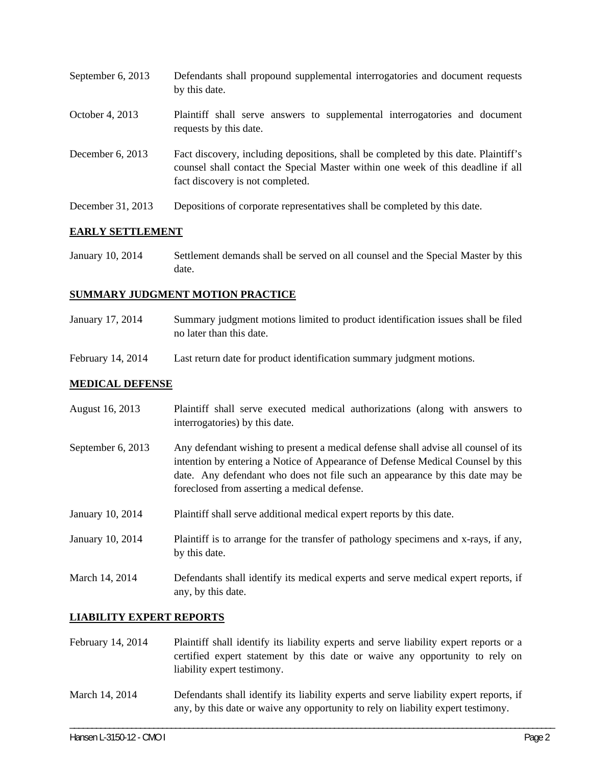| September $6, 2013$ | Defendants shall propound supplemental interrogatories and document requests<br>by this date.                                                                                                               |
|---------------------|-------------------------------------------------------------------------------------------------------------------------------------------------------------------------------------------------------------|
| October 4, 2013     | Plaintiff shall serve answers to supplemental interrogatories and document<br>requests by this date.                                                                                                        |
| December 6, $2013$  | Fact discovery, including depositions, shall be completed by this date. Plaintiff's<br>counsel shall contact the Special Master within one week of this deadline if all<br>fact discovery is not completed. |
| December 31, 2013   | Depositions of corporate representatives shall be completed by this date.                                                                                                                                   |

# **EARLY SETTLEMENT**

January 10, 2014 Settlement demands shall be served on all counsel and the Special Master by this date.

### **SUMMARY JUDGMENT MOTION PRACTICE**

| January 17, 2014 | Summary judgment motions limited to product identification issues shall be filed |
|------------------|----------------------------------------------------------------------------------|
|                  | no later than this date.                                                         |
|                  |                                                                                  |

February 14, 2014 Last return date for product identification summary judgment motions.

#### **MEDICAL DEFENSE**

| August 16, 2013   | Plaintiff shall serve executed medical authorizations (along with answers to<br>interrogatories) by this date.                                                                                                                                                                                        |
|-------------------|-------------------------------------------------------------------------------------------------------------------------------------------------------------------------------------------------------------------------------------------------------------------------------------------------------|
| September 6, 2013 | Any defendant wishing to present a medical defense shall advise all counsel of its<br>intention by entering a Notice of Appearance of Defense Medical Counsel by this<br>date. Any defendant who does not file such an appearance by this date may be<br>foreclosed from asserting a medical defense. |
| January 10, 2014  | Plaintiff shall serve additional medical expert reports by this date.                                                                                                                                                                                                                                 |
| January 10, 2014  | Plaintiff is to arrange for the transfer of pathology specimens and x-rays, if any,<br>by this date.                                                                                                                                                                                                  |
| March 14, 2014    | Defendants shall identify its medical experts and serve medical expert reports, if<br>any, by this date.                                                                                                                                                                                              |

### **LIABILITY EXPERT REPORTS**

February 14, 2014 Plaintiff shall identify its liability experts and serve liability expert reports or a certified expert statement by this date or waive any opportunity to rely on liability expert testimony.

March 14, 2014 Defendants shall identify its liability experts and serve liability expert reports, if any, by this date or waive any opportunity to rely on liability expert testimony.

\_\_\_\_\_\_\_\_\_\_\_\_\_\_\_\_\_\_\_\_\_\_\_\_\_\_\_\_\_\_\_\_\_\_\_\_\_\_\_\_\_\_\_\_\_\_\_\_\_\_\_\_\_\_\_\_\_\_\_\_\_\_\_\_\_\_\_\_\_\_\_\_\_\_\_\_\_\_\_\_\_\_\_\_\_\_\_\_\_\_\_\_\_\_\_\_\_\_\_\_\_\_\_\_\_\_\_\_\_\_